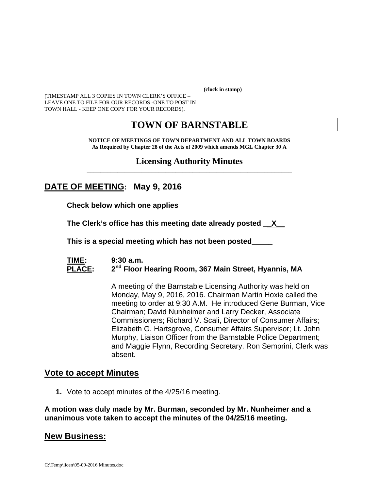**(clock in stamp)** 

(TIMESTAMP ALL 3 COPIES IN TOWN CLERK'S OFFICE – LEAVE ONE TO FILE FOR OUR RECORDS -ONE TO POST IN TOWN HALL - KEEP ONE COPY FOR YOUR RECORDS).

# **TOWN OF BARNSTABLE**

**NOTICE OF MEETINGS OF TOWN DEPARTMENT AND ALL TOWN BOARDS As Required by Chapter 28 of the Acts of 2009 which amends MGL Chapter 30 A** 

#### **Licensing Authority Minutes** \_\_\_\_\_\_\_\_\_\_\_\_\_\_\_\_\_\_\_\_\_\_\_\_\_\_\_\_\_\_\_\_\_\_\_\_\_\_\_\_\_\_\_\_\_\_\_\_\_\_\_\_\_\_\_\_\_\_\_\_

## **DATE OF MEETING: May 9, 2016**

**Check below which one applies** 

**The Clerk's office has this meeting date already posted \_\_X\_\_** 

 **This is a special meeting which has not been posted\_\_\_\_\_** 

#### **TIME: 9:30 a.m.**  PLACE: 2<sup>nd</sup> Floor Hearing Room, 367 Main Street, Hyannis, MA

A meeting of the Barnstable Licensing Authority was held on Monday, May 9, 2016, 2016. Chairman Martin Hoxie called the meeting to order at 9:30 A.M. He introduced Gene Burman, Vice Chairman; David Nunheimer and Larry Decker, Associate Commissioners; Richard V. Scali, Director of Consumer Affairs; Elizabeth G. Hartsgrove, Consumer Affairs Supervisor; Lt. John Murphy, Liaison Officer from the Barnstable Police Department; and Maggie Flynn, Recording Secretary. Ron Semprini, Clerk was absent.

### **Vote to accept Minutes**

**1.** Vote to accept minutes of the 4/25/16 meeting.

**A motion was duly made by Mr. Burman, seconded by Mr. Nunheimer and a unanimous vote taken to accept the minutes of the 04/25/16 meeting.** 

### **New Business:**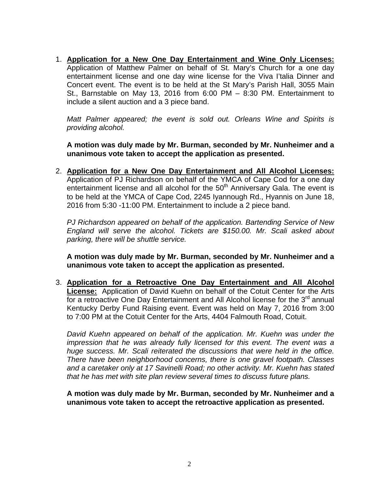1. **Application for a New One Day Entertainment and Wine Only Licenses:** Application of Matthew Palmer on behalf of St. Mary's Church for a one day entertainment license and one day wine license for the Viva I'talia Dinner and Concert event. The event is to be held at the St Mary's Parish Hall, 3055 Main St., Barnstable on May 13, 2016 from 6:00 PM – 8:30 PM. Entertainment to include a silent auction and a 3 piece band.

*Matt Palmer appeared; the event is sold out. Orleans Wine and Spirits is providing alcohol.* 

**A motion was duly made by Mr. Burman, seconded by Mr. Nunheimer and a unanimous vote taken to accept the application as presented.** 

2. **Application for a New One Day Entertainment and All Alcohol Licenses:** Application of PJ Richardson on behalf of the YMCA of Cape Cod for a one day entertainment license and all alcohol for the  $50<sup>th</sup>$  Anniversary Gala. The event is to be held at the YMCA of Cape Cod, 2245 Iyannough Rd., Hyannis on June 18, 2016 from 5:30 -11:00 PM. Entertainment to include a 2 piece band.

*PJ Richardson appeared on behalf of the application. Bartending Service of New England will serve the alcohol. Tickets are \$150.00. Mr. Scali asked about parking, there will be shuttle service.* 

**A motion was duly made by Mr. Burman, seconded by Mr. Nunheimer and a unanimous vote taken to accept the application as presented.** 

3. **Application for a Retroactive One Day Entertainment and All Alcohol License:** Application of David Kuehn on behalf of the Cotuit Center for the Arts for a retroactive One Day Entertainment and All Alcohol license for the  $3<sup>rd</sup>$  annual Kentucky Derby Fund Raising event. Event was held on May 7, 2016 from 3:00 to 7:00 PM at the Cotuit Center for the Arts, 4404 Falmouth Road, Cotuit.

*David Kuehn appeared on behalf of the application. Mr. Kuehn was under the impression that he was already fully licensed for this event. The event was a huge success. Mr. Scali reiterated the discussions that were held in the office. There have been neighborhood concerns, there is one gravel footpath. Classes and a caretaker only at 17 Savinelli Road; no other activity. Mr. Kuehn has stated that he has met with site plan review several times to discuss future plans.* 

**A motion was duly made by Mr. Burman, seconded by Mr. Nunheimer and a unanimous vote taken to accept the retroactive application as presented.**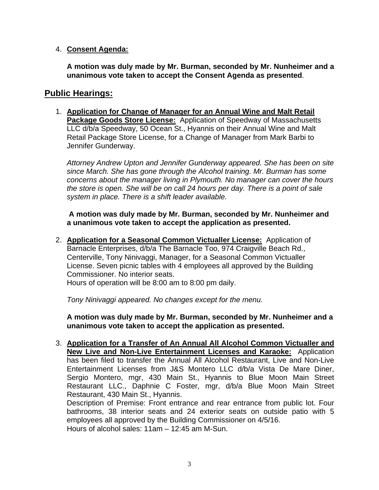#### 4. **Consent Agenda:**

**A motion was duly made by Mr. Burman, seconded by Mr. Nunheimer and a unanimous vote taken to accept the Consent Agenda as presented**.

### **Public Hearings:**

1. **Application for Change of Manager for an Annual Wine and Malt Retail Package Goods Store License:** Application of Speedway of Massachusetts LLC d/b/a Speedway, 50 Ocean St., Hyannis on their Annual Wine and Malt Retail Package Store License, for a Change of Manager from Mark Barbi to Jennifer Gunderway.

*Attorney Andrew Upton and Jennifer Gunderway appeared. She has been on site since March. She has gone through the Alcohol training. Mr. Burman has some concerns about the manager living in Plymouth. No manager can cover the hours the store is open. She will be on call 24 hours per day. There is a point of sale system in place. There is a shift leader available.* 

 **A motion was duly made by Mr. Burman, seconded by Mr. Nunheimer and a unanimous vote taken to accept the application as presented.** 

2. **Application for a Seasonal Common Victualler License:** Application of Barnacle Enterprises, d/b/a The Barnacle Too, 974 Craigville Beach Rd., Centerville, Tony Ninivaggi, Manager, for a Seasonal Common Victualler License. Seven picnic tables with 4 employees all approved by the Building Commissioner. No interior seats.

Hours of operation will be 8:00 am to 8:00 pm daily.

*Tony Ninivaggi appeared. No changes except for the menu.* 

**A motion was duly made by Mr. Burman, seconded by Mr. Nunheimer and a unanimous vote taken to accept the application as presented.** 

3. **Application for a Transfer of An Annual All Alcohol Common Victualler and New Live and Non-Live Entertainment Licenses and Karaoke:** Application has been filed to transfer the Annual All Alcohol Restaurant, Live and Non-Live Entertainment Licenses from J&S Montero LLC d/b/a Vista De Mare Diner, Sergio Montero, mgr, 430 Main St., Hyannis to Blue Moon Main Street Restaurant LLC., Daphnie C Foster, mgr, d/b/a Blue Moon Main Street Restaurant, 430 Main St., Hyannis.

Description of Premise: Front entrance and rear entrance from public lot. Four bathrooms, 38 interior seats and 24 exterior seats on outside patio with 5 employees all approved by the Building Commissioner on 4/5/16. Hours of alcohol sales: 11am – 12:45 am M-Sun.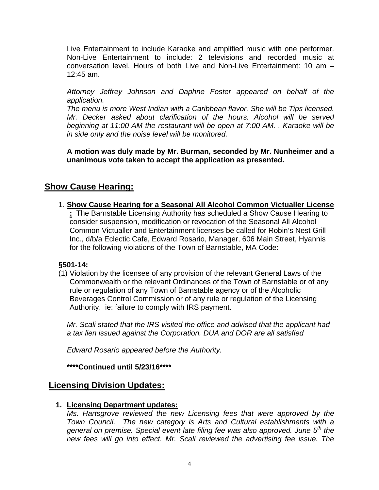Live Entertainment to include Karaoke and amplified music with one performer. Non-Live Entertainment to include: 2 televisions and recorded music at conversation level. Hours of both Live and Non-Live Entertainment: 10 am – 12:45 am.

*Attorney Jeffrey Johnson and Daphne Foster appeared on behalf of the application.* 

*The menu is more West Indian with a Caribbean flavor. She will be Tips licensed. Mr. Decker asked about clarification of the hours. Alcohol will be served beginning at 11:00 AM the restaurant will be open at 7:00 AM. . Karaoke will be in side only and the noise level will be monitored.* 

**A motion was duly made by Mr. Burman, seconded by Mr. Nunheimer and a unanimous vote taken to accept the application as presented.** 

## **Show Cause Hearing:**

1. **Show Cause Hearing for a Seasonal All Alcohol Common Victualler License :** The Barnstable Licensing Authority has scheduled a Show Cause Hearing to consider suspension, modification or revocation of the Seasonal All Alcohol Common Victualler and Entertainment licenses be called for Robin's Nest Grill Inc., d/b/a Eclectic Cafe, Edward Rosario, Manager, 606 Main Street, Hyannis for the following violations of the Town of Barnstable, MA Code:

### **§501-14:**

(1) Violation by the licensee of any provision of the relevant General Laws of the Commonwealth or the relevant Ordinances of the Town of Barnstable or of any rule or regulation of any Town of Barnstable agency or of the Alcoholic Beverages Control Commission or of any rule or regulation of the Licensing Authority. ie: failure to comply with IRS payment.

*Mr. Scali stated that the IRS visited the office and advised that the applicant had a tax lien issued against the Corporation. DUA and DOR are all satisfied* 

*Edward Rosario appeared before the Authority.* 

**\*\*\*\*Continued until 5/23/16\*\*\*\***

## **Licensing Division Updates:**

### **1. Licensing Department updates:**

*Ms. Hartsgrove reviewed the new Licensing fees that were approved by the Town Council. The new category is Arts and Cultural establishments with a general on premise. Special event late filing fee was also approved. June 5th the new fees will go into effect. Mr. Scali reviewed the advertising fee issue. The*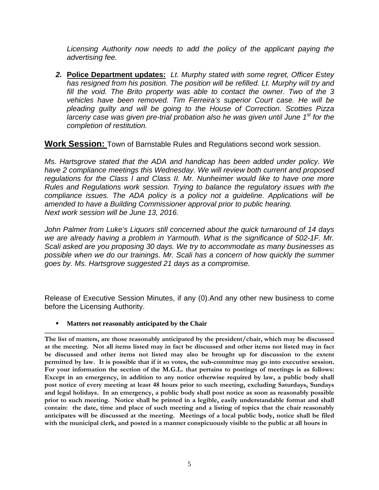*Licensing Authority now needs to add the policy of the applicant paying the advertising fee.* 

*2.* **Police Department updates:** *Lt. Murphy stated with some regret, Officer Estey has resigned from his position. The position will be refilled. Lt. Murphy will try and fill the void. The Brito property was able to contact the owner. Two of the 3 vehicles have been removed. Tim Ferreira's superior Court case. He will be pleading guilty and will be going to the House of Correction. Scotties Pizza larceny case was given pre-trial probation also he was given until June 1st for the completion of restitution.* 

**Work Session:** Town of Barnstable Rules and Regulations second work session.

*Ms. Hartsgrove stated that the ADA and handicap has been added under policy. We have 2 compliance meetings this Wednesday. We will review both current and proposed regulations for the Class I and Class II. Mr. Nunheimer would like to have one more Rules and Regulations work session. Trying to balance the regulatory issues with the compliance issues. The ADA policy is a policy not a guideline. Applications will be amended to have a Building Commissioner approval prior to public hearing. Next work session will be June 13, 2016.* 

*John Palmer from Luke's Liquors still concerned about the quick turnaround of 14 days we are already having a problem in Yarmouth. What is the significance of 502-1F. Mr. Scali asked are you proposing 30 days. We try to accommodate as many businesses as*  possible when we do our trainings. Mr. Scali has a concern of how quickly the summer *goes by. Ms. Hartsgrove suggested 21 days as a compromise.* 

Release of Executive Session Minutes, if any (0).And any other new business to come before the Licensing Authority.

**Matters not reasonably anticipated by the Chair** 

**The list of matters, are those reasonably anticipated by the president/chair, which may be discussed at the meeting. Not all items listed may in fact be discussed and other items not listed may in fact be discussed and other items not listed may also be brought up for discussion to the extent permitted by law. It is possible that if it so votes, the sub-committee may go into executive session. For your information the section of the M.G.L. that pertains to postings of meetings is as follows: Except in an emergency, in addition to any notice otherwise required by law, a public body shall post notice of every meeting at least 48 hours prior to such meeting, excluding Saturdays, Sundays and legal holidays. In an emergency, a public body shall post notice as soon as reasonably possible prior to such meeting. Notice shall be printed in a legible, easily understandable format and shall contain: the date, time and place of such meeting and a listing of topics that the chair reasonably anticipates will be discussed at the meeting. Meetings of a local public body, notice shall be filed with the municipal clerk, and posted in a manner conspicuously visible to the public at all hours in**